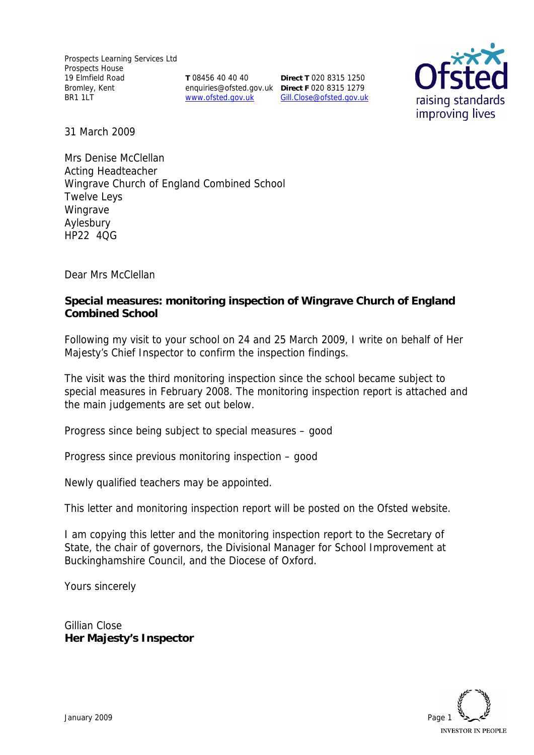**T** 08456 40 40 40 www.ofsted.gov.uk

enquiries@ofsted.gov.uk **Direct F** 020 8315 1279 **Direct T** 020 8315 1250 Gill.Close@ofsted.gov.uk



31 March 2009

Mrs Denise McClellan Acting Headteacher Wingrave Church of England Combined School Twelve Leys Wingrave Aylesbury HP22 4QG

Dear Mrs McClellan

**Special measures: monitoring inspection of Wingrave Church of England Combined School**

Following my visit to your school on 24 and 25 March 2009, I write on behalf of Her Majesty's Chief Inspector to confirm the inspection findings.

The visit was the third monitoring inspection since the school became subject to special measures in February 2008. The monitoring inspection report is attached and the main judgements are set out below.

Progress since being subject to special measures – good

Progress since previous monitoring inspection – good

Newly qualified teachers may be appointed.

This letter and monitoring inspection report will be posted on the Ofsted website.

I am copying this letter and the monitoring inspection report to the Secretary of State, the chair of governors, the Divisional Manager for School Improvement at Buckinghamshire Council, and the Diocese of Oxford.

Yours sincerely

Gillian Close **Her Majesty's Inspector**

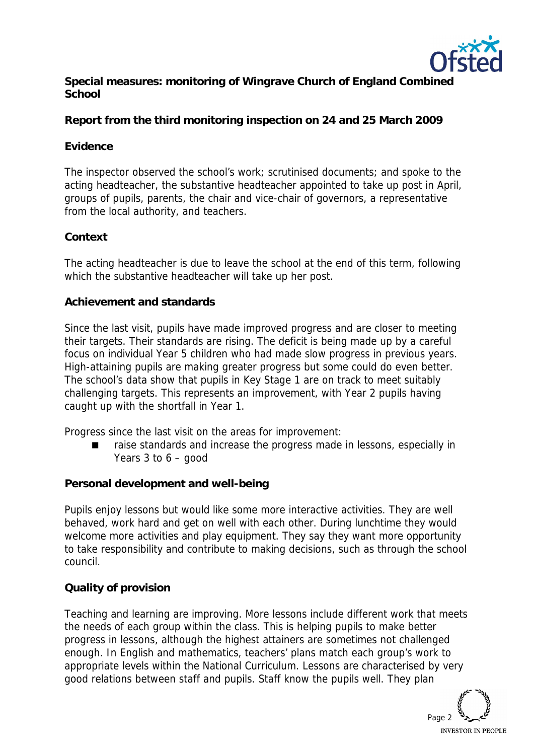

**Special measures: monitoring of Wingrave Church of England Combined School**

**Report from the third monitoring inspection on 24 and 25 March 2009**

### **Evidence**

The inspector observed the school's work; scrutinised documents; and spoke to the acting headteacher, the substantive headteacher appointed to take up post in April, groups of pupils, parents, the chair and vice-chair of governors, a representative from the local authority, and teachers.

### **Context**

The acting headteacher is due to leave the school at the end of this term, following which the substantive headteacher will take up her post.

#### **Achievement and standards**

Since the last visit, pupils have made improved progress and are closer to meeting their targets. Their standards are rising. The deficit is being made up by a careful focus on individual Year 5 children who had made slow progress in previous years. High-attaining pupils are making greater progress but some could do even better. The school's data show that pupils in Key Stage 1 are on track to meet suitably challenging targets. This represents an improvement, with Year 2 pupils having caught up with the shortfall in Year 1.

Progress since the last visit on the areas for improvement:

 raise standards and increase the progress made in lessons, especially in Years 3 to 6 – good

#### **Personal development and well-being**

Pupils enjoy lessons but would like some more interactive activities. They are well behaved, work hard and get on well with each other. During lunchtime they would welcome more activities and play equipment. They say they want more opportunity to take responsibility and contribute to making decisions, such as through the school council.

# **Quality of provision**

Teaching and learning are improving. More lessons include different work that meets the needs of each group within the class. This is helping pupils to make better progress in lessons, although the highest attainers are sometimes not challenged enough. In English and mathematics, teachers' plans match each group's work to appropriate levels within the National Curriculum. Lessons are characterised by very good relations between staff and pupils. Staff know the pupils well. They plan

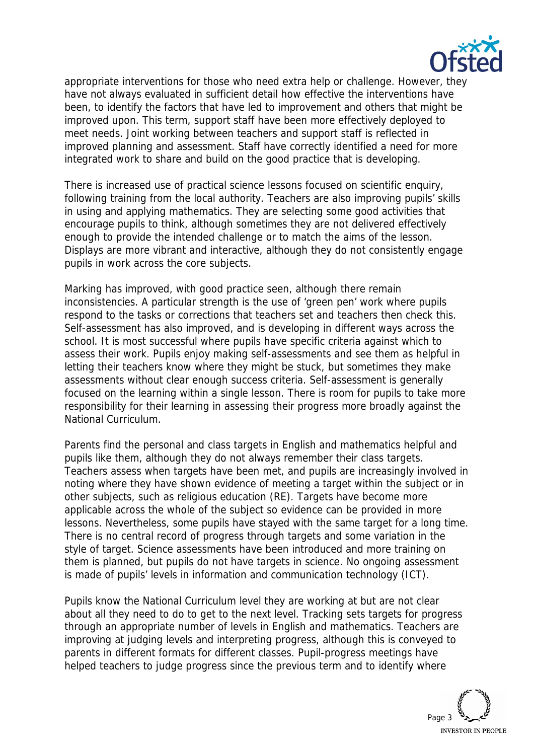

appropriate interventions for those who need extra help or challenge. However, they have not always evaluated in sufficient detail how effective the interventions have been, to identify the factors that have led to improvement and others that might be improved upon. This term, support staff have been more effectively deployed to meet needs. Joint working between teachers and support staff is reflected in improved planning and assessment. Staff have correctly identified a need for more integrated work to share and build on the good practice that is developing.

There is increased use of practical science lessons focused on scientific enquiry, following training from the local authority. Teachers are also improving pupils' skills in using and applying mathematics. They are selecting some good activities that encourage pupils to think, although sometimes they are not delivered effectively enough to provide the intended challenge or to match the aims of the lesson. Displays are more vibrant and interactive, although they do not consistently engage pupils in work across the core subjects.

Marking has improved, with good practice seen, although there remain inconsistencies. A particular strength is the use of 'green pen' work where pupils respond to the tasks or corrections that teachers set and teachers then check this. Self-assessment has also improved, and is developing in different ways across the school. It is most successful where pupils have specific criteria against which to assess their work. Pupils enjoy making self-assessments and see them as helpful in letting their teachers know where they might be stuck, but sometimes they make assessments without clear enough success criteria. Self-assessment is generally focused on the learning within a single lesson. There is room for pupils to take more responsibility for their learning in assessing their progress more broadly against the National Curriculum.

Parents find the personal and class targets in English and mathematics helpful and pupils like them, although they do not always remember their class targets. Teachers assess when targets have been met, and pupils are increasingly involved in noting where they have shown evidence of meeting a target within the subject or in other subjects, such as religious education (RE). Targets have become more applicable across the whole of the subject so evidence can be provided in more lessons. Nevertheless, some pupils have stayed with the same target for a long time. There is no central record of progress through targets and some variation in the style of target. Science assessments have been introduced and more training on them is planned, but pupils do not have targets in science. No ongoing assessment is made of pupils' levels in information and communication technology (ICT).

Pupils know the National Curriculum level they are working at but are not clear about all they need to do to get to the next level. Tracking sets targets for progress through an appropriate number of levels in English and mathematics. Teachers are improving at judging levels and interpreting progress, although this is conveyed to parents in different formats for different classes. Pupil-progress meetings have helped teachers to judge progress since the previous term and to identify where

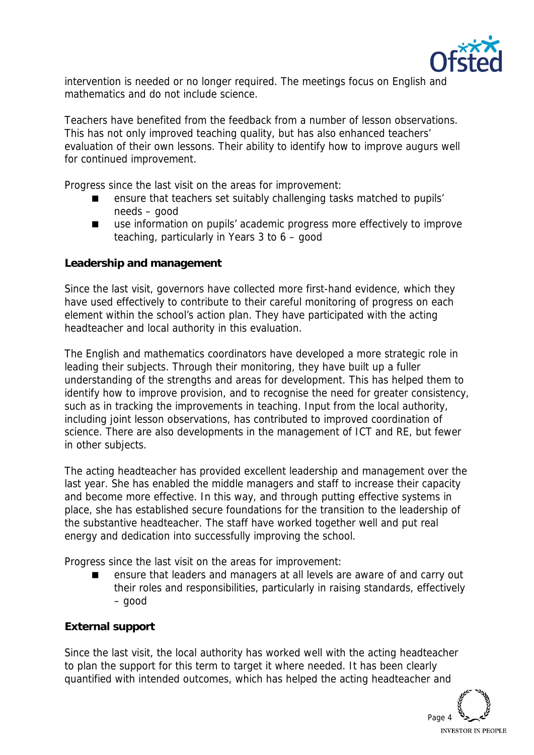

intervention is needed or no longer required. The meetings focus on English and mathematics and do not include science.

Teachers have benefited from the feedback from a number of lesson observations. This has not only improved teaching quality, but has also enhanced teachers' evaluation of their own lessons. Their ability to identify how to improve augurs well for continued improvement.

Progress since the last visit on the areas for improvement:

- ensure that teachers set suitably challenging tasks matched to pupils' needs – good
- use information on pupils' academic progress more effectively to improve teaching, particularly in Years 3 to 6 – good

**Leadership and management**

Since the last visit, governors have collected more first-hand evidence, which they have used effectively to contribute to their careful monitoring of progress on each element within the school's action plan. They have participated with the acting headteacher and local authority in this evaluation.

The English and mathematics coordinators have developed a more strategic role in leading their subjects. Through their monitoring, they have built up a fuller understanding of the strengths and areas for development. This has helped them to identify how to improve provision, and to recognise the need for greater consistency, such as in tracking the improvements in teaching. Input from the local authority, including joint lesson observations, has contributed to improved coordination of science. There are also developments in the management of ICT and RE, but fewer in other subjects.

The acting headteacher has provided excellent leadership and management over the last year. She has enabled the middle managers and staff to increase their capacity and become more effective. In this way, and through putting effective systems in place, she has established secure foundations for the transition to the leadership of the substantive headteacher. The staff have worked together well and put real energy and dedication into successfully improving the school.

Progress since the last visit on the areas for improvement:

 ensure that leaders and managers at all levels are aware of and carry out their roles and responsibilities, particularly in raising standards, effectively – good

# **External support**

Since the last visit, the local authority has worked well with the acting headteacher to plan the support for this term to target it where needed. It has been clearly quantified with intended outcomes, which has helped the acting headteacher and